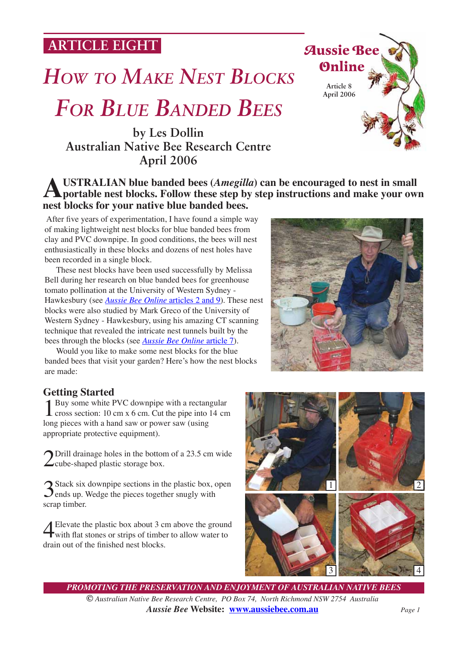**ARTICLE EIGHT**

# *HOW TO MAKE NEST BLOCKS*

## *FOR BLUE BANDED BEES*

**by Les Dollin Australian Native Bee Research Centre April 2006**



 After five years of experimentation, I have found a simple way of making lightweight nest blocks for blue banded bees from clay and PVC downpipe. In good conditions, the bees will nest enthusiastically in these blocks and dozens of nest holes have been recorded in a single block.

 These nest blocks have been used successfully by Melissa Bell during her research on blue banded bees for greenhouse tomato pollination at the University of Western Sydney - Hawkesbury (see *[Aussie Bee Online](http://www.zeta.org.au/~anbrc/abol-current.html)* articles 2 and 9). These nest blocks were also studied by Mark Greco of the University of Western Sydney - Hawkesbury, using his amazing CT scanning technique that revealed the intricate nest tunnels built by the bees through the blocks (see *[Aussie Bee Online](http://www.zeta.org.au/~anbrc/abol-current.html)* article 7).

 Would you like to make some nest blocks for the blue banded bees that visit your garden? Here's how the nest blocks are made:

#### **Getting Started**

1 Buy some white PVC downpipe with a rectangular cross section: 10 cm x 6 cm. Cut the pipe into 14 cm long pieces with a hand saw or power saw (using appropriate protective equipment).

2Drill drainage holes in the bottom of a 23.5 cm wide  $\angle$ cube-shaped plastic storage box.

3Stack six downpipe sections in the plastic box, open ends up. Wedge the pieces together snugly with scrap timber.

Elevate the plastic box about 3 cm above the ground<br>with flat stones or strips of timber to allow water to<br>due to the finished next blocks drain out of the finished nest blocks.







*PROMOTING THE PRESERVATION AND ENJOYMENT OF AUSTRALIAN NATIVE BEES © Australian Native Bee Research Centre, PO Box 74, North Richmond NSW 2754 Australia Aussie Bee* **Website: [www.aussiebee.com.au](http://www.aussiebee.com.au)** *Page 1*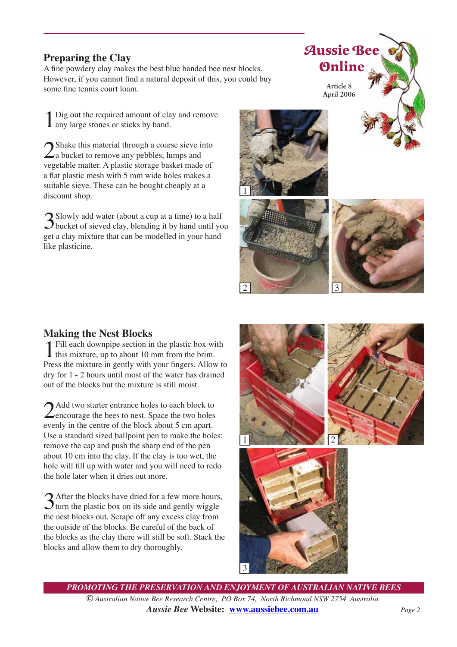### **Preparing the Clay**

A fine powdery clay makes the best blue banded bee nest blocks. However, if you cannot find a natural deposit of this, you could buy some fine tennis court loam.

1Dig out the required amount of clay and remove any large stones or sticks by hand.

 $\sum$  Shake this material through a coarse sieve into  $\sum$  a bucket to remove any pebbles, lumps and vegetable matter. A plastic storage basket made of a flat plastic mesh with 5 mm wide holes makes a suitable sieve. These can be bought cheaply at a discount shop.

Slowly add water (about a cup at a time) to a half<br>bucket of sieved clay, blending it by hand until you get a clay mixture that can be modelled in your hand like plasticine.









**Making the Nest Blocks**<br>**1** Fill each downpipe section in the plastic box with **1** Fill each downpipe section in the plastic box with this mixture, up to about 10 mm from the brim. Press the mixture in gently with your fingers. Allow to dry for 1 - 2 hours until most of the water has drained out of the blocks but the mixture is still moist.

2 Add two starter entrance holes to each block to<br>encourage the bees to nest. Space the two holes evenly in the centre of the block about 5 cm apart. Use a standard sized ballpoint pen to make the holes: remove the cap and push the sharp end of the pen about 10 cm into the clay. If the clay is too wet, the hole will fill up with water and you will need to redo the hole later when it dries out more.

 $3$  After the blocks have dried for a few more hours,<br>turn the plastic box on its side and gently wiggle<br>the next blocks out. Some off our grosses also from the nest blocks out. Scrape off any excess clay from the outside of the blocks. Be careful of the back of the blocks as the clay there will still be soft. Stack the blocks and allow them to dry thoroughly.



*PROMOTING THE PRESERVATION AND ENJOYMENT OF AUSTRALIAN NATIVE BEES © Australian Native Bee Research Centre, PO Box 74, North Richmond NSW 2754 Australia Aussie Bee* **Website: [www.aussiebee.com.au](http://www.aussiebee.com.au)** *Page 2*

3